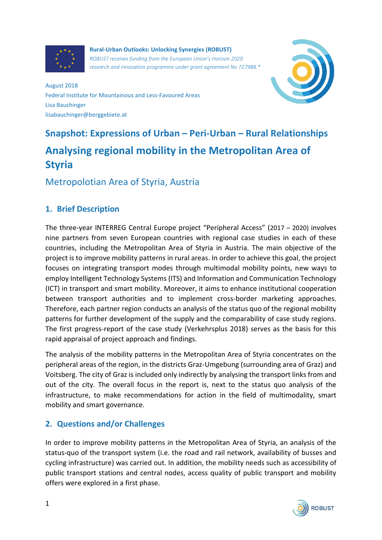

**Rural-Urban Outlooks: Unlocking Synergies (ROBUST)** *ROBUST receives funding from the European Union's Horizon 2020 research and innovation programme under grant agreement No 727988.\**



August 2018 Federal Institute for Mountainous and Less-Favoured Areas Lisa Bauchinger lisabauchinger@berggebiete.at

# **Snapshot: Expressions of Urban – Peri-Urban – Rural Relationships Analysing regional mobility in the Metropolitan Area of Styria**

Metropolotian Area of Styria, Austria

## **1. Brief Description**

The three-year INTERREG Central Europe project "Peripheral Access" (2017 – 2020) involves nine partners from seven European countries with regional case studies in each of these countries, including the Metropolitan Area of Styria in Austria. The main objective of the project is to improve mobility patterns in rural areas. In order to achieve this goal, the project focuses on integrating transport modes through multimodal mobility points, new ways to employ Intelligent Technology Systems (ITS) and Information and Communication Technology (ICT) in transport and smart mobility. Moreover, it aims to enhance institutional cooperation between transport authorities and to implement cross-border marketing approaches. Therefore, each partner region conducts an analysis of the status quo of the regional mobility patterns for further development of the supply and the comparability of case study regions. The first progress-report of the case study (Verkehrsplus 2018) serves as the basis for this rapid appraisal of project approach and findings.

The analysis of the mobility patterns in the Metropolitan Area of Styria concentrates on the peripheral areas of the region, in the districts Graz-Umgebung (surrounding area of Graz) and Voitsberg. The city of Graz is included only indirectly by analysing the transport links from and out of the city. The overall focus in the report is, next to the status quo analysis of the infrastructure, to make recommendations for action in the field of multimodality, smart mobility and smart governance.

## **2. Questions and/or Challenges**

In order to improve mobility patterns in the Metropolitan Area of Styria, an analysis of the status-quo of the transport system (i.e. the road and rail network, availability of busses and cycling infrastructure) was carried out. In addition, the mobility needs such as accessibility of public transport stations and central nodes, access quality of public transport and mobility offers were explored in a first phase.

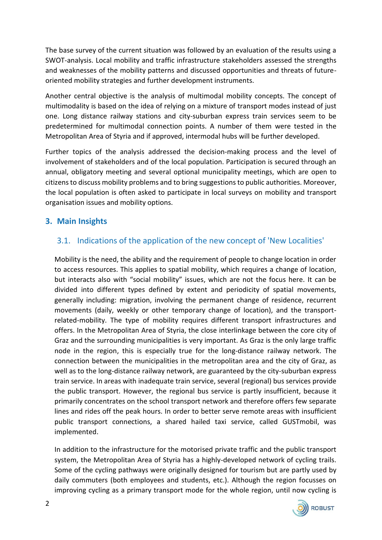The base survey of the current situation was followed by an evaluation of the results using a SWOT-analysis. Local mobility and traffic infrastructure stakeholders assessed the strengths and weaknesses of the mobility patterns and discussed opportunities and threats of futureoriented mobility strategies and further development instruments.

Another central objective is the analysis of multimodal mobility concepts. The concept of multimodality is based on the idea of relying on a mixture of transport modes instead of just one. Long distance railway stations and city-suburban express train services seem to be predetermined for multimodal connection points. A number of them were tested in the Metropolitan Area of Styria and if approved, intermodal hubs will be further developed.

Further topics of the analysis addressed the decision-making process and the level of involvement of stakeholders and of the local population. Participation is secured through an annual, obligatory meeting and several optional municipality meetings, which are open to citizens to discuss mobility problems and to bring suggestions to public authorities. Moreover, the local population is often asked to participate in local surveys on mobility and transport organisation issues and mobility options.

### **3. Main Insights**

### 3.1. Indications of the application of the new concept of 'New Localities'

Mobility is the need, the ability and the requirement of people to change location in order to access resources. This applies to spatial mobility, which requires a change of location, but interacts also with "social mobility" issues, which are not the focus here. It can be divided into different types defined by extent and periodicity of spatial movements, generally including: migration, involving the permanent change of residence, recurrent movements (daily, weekly or other temporary change of location), and the transportrelated-mobility. The type of mobility requires different transport infrastructures and offers. In the Metropolitan Area of Styria, the close interlinkage between the core city of Graz and the surrounding municipalities is very important. As Graz is the only large traffic node in the region, this is especially true for the long-distance railway network. The connection between the municipalities in the metropolitan area and the city of Graz, as well as to the long-distance railway network, are guaranteed by the city-suburban express train service. In areas with inadequate train service, several (regional) bus services provide the public transport. However, the regional bus service is partly insufficient, because it primarily concentrates on the school transport network and therefore offers few separate lines and rides off the peak hours. In order to better serve remote areas with insufficient public transport connections, a shared hailed taxi service, called GUSTmobil, was implemented.

In addition to the infrastructure for the motorised private traffic and the public transport system, the Metropolitan Area of Styria has a highly-developed network of cycling trails. Some of the cycling pathways were originally designed for tourism but are partly used by daily commuters (both employees and students, etc.). Although the region focusses on improving cycling as a primary transport mode for the whole region, until now cycling is

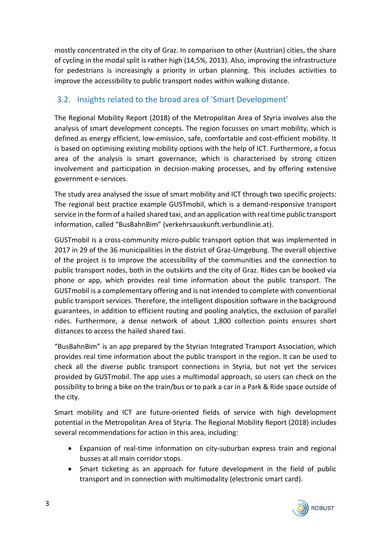mostly concentrated in the city of Graz. In comparison to other (Austrian) cities, the share of cycling in the modal split is rather high (14,5%, 2013). Also, improving the infrastructure for pedestrians is increasingly a priority in urban planning. This includes activities to improve the accessibility to public transport nodes within walking distance.

## 3.2. Insights related to the broad area of 'Smart Development'

The Regional Mobility Report (2018) of the Metropolitan Area of Styria involves also the analysis of smart development concepts. The region focusses on smart mobility, which is defined as energy efficient, low-emission, safe, comfortable and cost-efficient mobility. It is based on optimising existing mobility options with the help of ICT. Furthermore, a focus area of the analysis is smart governance, which is characterised by strong citizen involvement and participation in decision-making processes, and by offering extensive government e-services.

The study area analysed the issue of smart mobility and ICT through two specific projects: The regional best practice example GUSTmobil, which is a demand-responsive transport service in the form of a hailed shared taxi, and an application with real time public transport information, called "BusBahnBim" (verkehrsauskunft.verbundlinie.at).

GUSTmobil is a cross-community micro-public transport option that was implemented in 2017 in 29 of the 36 municipalities in the district of Graz-Umgebung. The overall objective of the project is to improve the accessibility of the communities and the connection to public transport nodes, both in the outskirts and the city of Graz. Rides can be booked via phone or app, which provides real time information about the public transport. The GUSTmobil is a complementary offering and is not intended to complete with conventional public transport services. Therefore, the intelligent disposition software in the background guarantees, in addition to efficient routing and pooling analytics, the exclusion of parallel rides. Furthermore, a dense network of about 1,800 collection points ensures short distances to access the hailed shared taxi.

"BusBahnBim" is an app prepared by the Styrian Integrated Transport Association, which provides real time information about the public transport in the region. It can be used to check all the diverse public transport connections in Styria, but not yet the services provided by GUSTmobil. The app uses a multimodal approach, so users can check on the possibility to bring a bike on the train/bus or to park a car in a Park & Ride space outside of the city.

Smart mobility and ICT are future-oriented fields of service with high development potential in the Metropolitan Area of Styria. The Regional Mobility Report (2018) includes several recommendations for action in this area, including:

- Expansion of real-time information on city-suburban express train and regional busses at all main corridor stops.
- Smart ticketing as an approach for future development in the field of public transport and in connection with multimodality (electronic smart card).

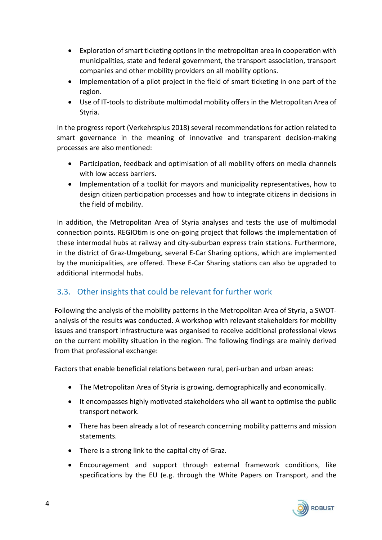- Exploration of smart ticketing options in the metropolitan area in cooperation with municipalities, state and federal government, the transport association, transport companies and other mobility providers on all mobility options.
- Implementation of a pilot project in the field of smart ticketing in one part of the region.
- Use of IT-tools to distribute multimodal mobility offers in the Metropolitan Area of Styria.

In the progress report (Verkehrsplus 2018) several recommendations for action related to smart governance in the meaning of innovative and transparent decision-making processes are also mentioned:

- Participation, feedback and optimisation of all mobility offers on media channels with low access barriers.
- Implementation of a toolkit for mayors and municipality representatives, how to design citizen participation processes and how to integrate citizens in decisions in the field of mobility.

In addition, the Metropolitan Area of Styria analyses and tests the use of multimodal connection points. REGIOtim is one on-going project that follows the implementation of these intermodal hubs at railway and city-suburban express train stations. Furthermore, in the district of Graz-Umgebung, several E-Car Sharing options, which are implemented by the municipalities, are offered. These E-Car Sharing stations can also be upgraded to additional intermodal hubs.

### 3.3. Other insights that could be relevant for further work

Following the analysis of the mobility patterns in the Metropolitan Area of Styria, a SWOTanalysis of the results was conducted. A workshop with relevant stakeholders for mobility issues and transport infrastructure was organised to receive additional professional views on the current mobility situation in the region. The following findings are mainly derived from that professional exchange:

Factors that enable beneficial relations between rural, peri-urban and urban areas:

- The Metropolitan Area of Styria is growing, demographically and economically.
- It encompasses highly motivated stakeholders who all want to optimise the public transport network.
- There has been already a lot of research concerning mobility patterns and mission statements.
- There is a strong link to the capital city of Graz.
- Encouragement and support through external framework conditions, like specifications by the EU (e.g. through the White Papers on Transport, and the

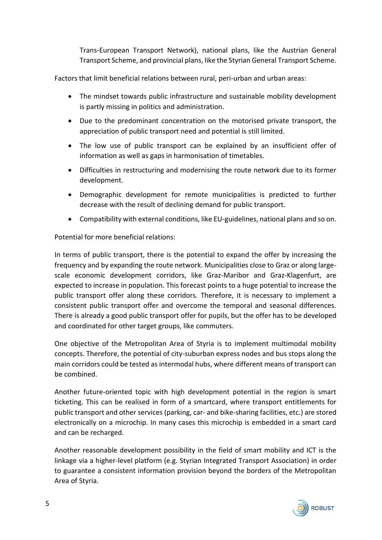Trans-European Transport Network), national plans, like the Austrian General Transport Scheme, and provincial plans, like the Styrian General Transport Scheme.

Factors that limit beneficial relations between rural, peri-urban and urban areas:

- The mindset towards public infrastructure and sustainable mobility development is partly missing in politics and administration.
- Due to the predominant concentration on the motorised private transport, the appreciation of public transport need and potential is still limited.
- The low use of public transport can be explained by an insufficient offer of information as well as gaps in harmonisation of timetables.
- Difficulties in restructuring and modernising the route network due to its former development.
- Demographic development for remote municipalities is predicted to further decrease with the result of declining demand for public transport.
- Compatibility with external conditions, like EU-guidelines, national plans and so on.

Potential for more beneficial relations:

In terms of public transport, there is the potential to expand the offer by increasing the frequency and by expanding the route network. Municipalities close to Graz or along largescale economic development corridors, like Graz-Maribor and Graz-Klagenfurt, are expected to increase in population. This forecast points to a huge potential to increase the public transport offer along these corridors. Therefore, it is necessary to implement a consistent public transport offer and overcome the temporal and seasonal differences. There is already a good public transport offer for pupils, but the offer has to be developed and coordinated for other target groups, like commuters.

One objective of the Metropolitan Area of Styria is to implement multimodal mobility concepts. Therefore, the potential of city-suburban express nodes and bus stops along the main corridors could be tested as intermodal hubs, where different means of transport can be combined.

Another future-oriented topic with high development potential in the region is smart ticketing. This can be realised in form of a smartcard, where transport entitlements for public transport and other services (parking, car- and bike-sharing facilities, etc.) are stored electronically on a microchip. In many cases this microchip is embedded in a smart card and can be recharged.

Another reasonable development possibility in the field of smart mobility and ICT is the linkage via a higher-level platform (e.g. Styrian Integrated Transport Association) in order to guarantee a consistent information provision beyond the borders of the Metropolitan Area of Styria.

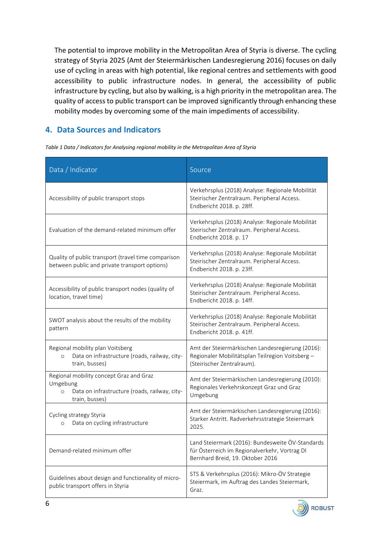The potential to improve mobility in the Metropolitan Area of Styria is diverse. The cycling strategy of Styria 2025 (Amt der Steiermärkischen Landesregierung 2016) focuses on daily use of cycling in areas with high potential, like regional centres and settlements with good accessibility to public infrastructure nodes. In general, the accessibility of public infrastructure by cycling, but also by walking, is a high priority in the metropolitan area. The quality of access to public transport can be improved significantly through enhancing these mobility modes by overcoming some of the main impediments of accessibility.

## **4. Data Sources and Indicators**

| Data / Indicator                                                                                                                  | Source                                                                                                                                |
|-----------------------------------------------------------------------------------------------------------------------------------|---------------------------------------------------------------------------------------------------------------------------------------|
| Accessibility of public transport stops                                                                                           | Verkehrsplus (2018) Analyse: Regionale Mobilität<br>Steirischer Zentralraum. Peripheral Access.<br>Endbericht 2018. p. 28ff.          |
| Evaluation of the demand-related minimum offer                                                                                    | Verkehrsplus (2018) Analyse: Regionale Mobilität<br>Steirischer Zentralraum. Peripheral Access.<br>Endbericht 2018. p. 17             |
| Quality of public transport (travel time comparison<br>between public and private transport options)                              | Verkehrsplus (2018) Analyse: Regionale Mobilität<br>Steirischer Zentralraum. Peripheral Access.<br>Endbericht 2018. p. 23ff.          |
| Accessibility of public transport nodes (quality of<br>location, travel time)                                                     | Verkehrsplus (2018) Analyse: Regionale Mobilität<br>Steirischer Zentralraum. Peripheral Access.<br>Endbericht 2018. p. 14ff.          |
| SWOT analysis about the results of the mobility<br>pattern                                                                        | Verkehrsplus (2018) Analyse: Regionale Mobilität<br>Steirischer Zentralraum. Peripheral Access.<br>Endbericht 2018. p. 41ff.          |
| Regional mobility plan Voitsberg<br>Data on infrastructure (roads, railway, city-<br>$\circ$<br>train, busses)                    | Amt der Steiermärkischen Landesregierung (2016):<br>Regionaler Mobilitätsplan Teilregion Voitsberg -<br>(Steirischer Zentralraum).    |
| Regional mobility concept Graz and Graz<br>Umgebung<br>Data on infrastructure (roads, railway, city-<br>$\circ$<br>train, busses) | Amt der Steiermärkischen Landesregierung (2010):<br>Regionales Verkehrskonzept Graz und Graz<br>Umgebung                              |
| Cycling strategy Styria<br>Data on cycling infrastructure<br>$\circ$                                                              | Amt der Steiermärkischen Landesregierung (2016):<br>Starker Antritt. Radverkehrsstrategie Steiermark<br>2025.                         |
| Demand-related minimum offer                                                                                                      | Land Steiermark (2016): Bundesweite ÖV-Standards<br>für Österreich im Regionalverkehr, Vortrag DI<br>Bernhard Breid, 19. Oktober 2016 |
| Guidelines about design and functionality of micro-<br>public transport offers in Styria                                          | STS & Verkehrsplus (2016): Mikro-ÖV Strategie<br>Steiermark, im Auftrag des Landes Steiermark,<br>Graz.                               |

*Table 1 Data / Indicators for Analysing regional mobility in the Metropolitan Area of Styria*

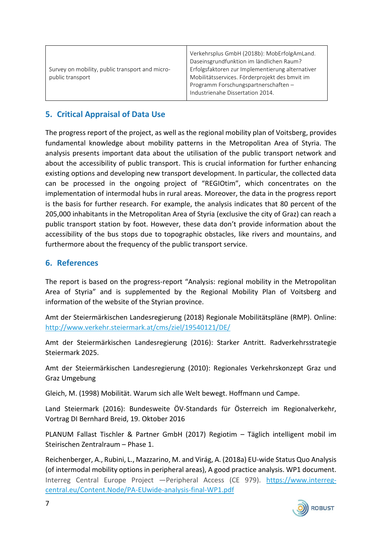| Survey on mobility, public transport and micro-<br>public transport | Verkehrsplus GmbH (2018b): MobErfolgAmLand.<br>Daseinsgrundfunktion im ländlichen Raum?<br>Erfolgsfaktoren zur Implementierung alternativer<br>Mobilitätsservices. Förderprojekt des bmvit im<br>Programm Forschungspartnerschaften-<br>Industrienahe Dissertation 2014. |
|---------------------------------------------------------------------|--------------------------------------------------------------------------------------------------------------------------------------------------------------------------------------------------------------------------------------------------------------------------|
|---------------------------------------------------------------------|--------------------------------------------------------------------------------------------------------------------------------------------------------------------------------------------------------------------------------------------------------------------------|

## **5. Critical Appraisal of Data Use**

The progress report of the project, as well as the regional mobility plan of Voitsberg, provides fundamental knowledge about mobility patterns in the Metropolitan Area of Styria. The analysis presents important data about the utilisation of the public transport network and about the accessibility of public transport. This is crucial information for further enhancing existing options and developing new transport development. In particular, the collected data can be processed in the ongoing project of "REGIOtim", which concentrates on the implementation of intermodal hubs in rural areas. Moreover, the data in the progress report is the basis for further research. For example, the analysis indicates that 80 percent of the 205,000 inhabitants in the Metropolitan Area of Styria (exclusive the city of Graz) can reach a public transport station by foot. However, these data don't provide information about the accessibility of the bus stops due to topographic obstacles, like rivers and mountains, and furthermore about the frequency of the public transport service.

#### **6. References**

The report is based on the progress-report "Analysis: regional mobility in the Metropolitan Area of Styria" and is supplemented by the Regional Mobility Plan of Voitsberg and information of the website of the Styrian province.

Amt der Steiermärkischen Landesregierung (2018) Regionale Mobilitätspläne (RMP). Online: <http://www.verkehr.steiermark.at/cms/ziel/19540121/DE/>

Amt der Steiermärkischen Landesregierung (2016): Starker Antritt. Radverkehrsstrategie Steiermark 2025.

Amt der Steiermärkischen Landesregierung (2010): Regionales Verkehrskonzept Graz und Graz Umgebung

Gleich, M. (1998) Mobilität. Warum sich alle Welt bewegt. Hoffmann und Campe.

Land Steiermark (2016): Bundesweite ÖV-Standards für Österreich im Regionalverkehr, Vortrag DI Bernhard Breid, 19. Oktober 2016

PLANUM Fallast Tischler & Partner GmbH (2017) Regiotim – Täglich intelligent mobil im Steirischen Zentralraum – Phase 1.

Reichenberger, A., Rubini, L., Mazzarino, M. and Virág, A. (2018a) EU-wide Status Quo Analysis (of intermodal mobility options in peripheral areas), A good practice analysis. WP1 document. Interreg Central Europe Project ―Peripheral Access (CE 979). [https://www.interreg](https://www.interreg-central.eu/Content.Node/PA-EUwide-analysis-final-WP1.pdf)[central.eu/Content.Node/PA-EUwide-analysis-final-WP1.pdf](https://www.interreg-central.eu/Content.Node/PA-EUwide-analysis-final-WP1.pdf)